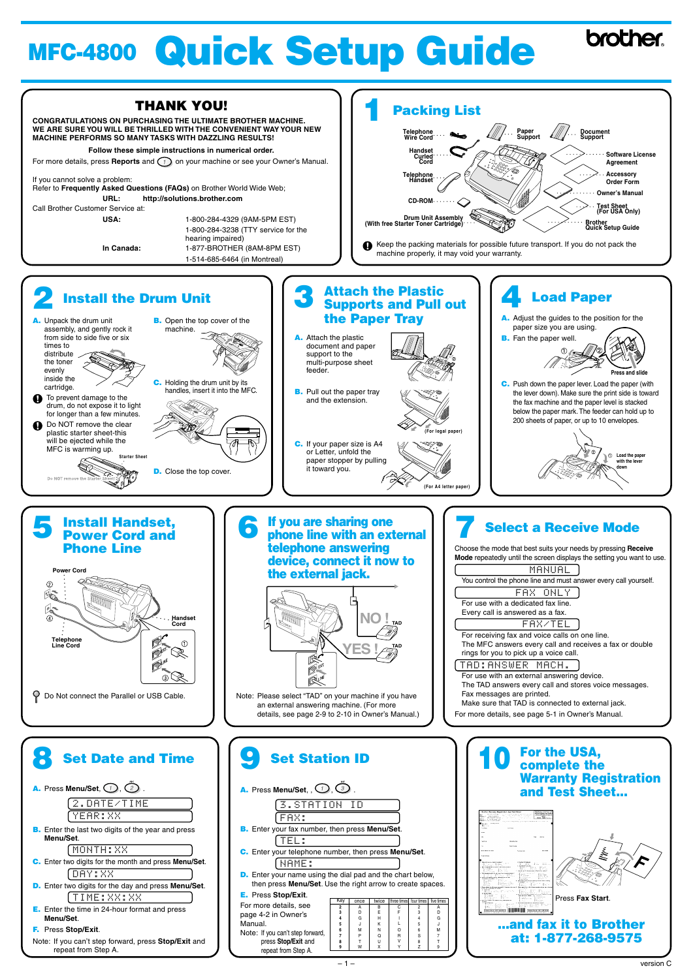| <b>Set Date and Time</b>                                                           |  |  |  |  |  |
|------------------------------------------------------------------------------------|--|--|--|--|--|
| A. Press Menu/Set, O, 2                                                            |  |  |  |  |  |
| 2.DATE/TIME                                                                        |  |  |  |  |  |
| YEAR: XX                                                                           |  |  |  |  |  |
| <b>B.</b> Enter the last two digits of the year and press<br>Menu/Set.             |  |  |  |  |  |
| MONTH: XX                                                                          |  |  |  |  |  |
| C. Enter two digits for the month and press Menu/Set.                              |  |  |  |  |  |
| DAY:XX                                                                             |  |  |  |  |  |
| <b>D.</b> Enter two digits for the day and press <b>Menu/Set</b> .                 |  |  |  |  |  |
| [TIME:XX:XX                                                                        |  |  |  |  |  |
| <b>E.</b> Enter the time in 24-hour format and press<br>Menu/Set.                  |  |  |  |  |  |
| <b>F.</b> Press Stop/Exit.                                                         |  |  |  |  |  |
| Note: If you can't step forward, press <b>Stop/Exit</b> and<br>repeat from Step A. |  |  |  |  |  |



#### **9 Set Station ID A.** Press Menu/Set, ,  $\bigcirc$ ,  $\bigcirc$ FAX: 3.STATION ID **B.** Enter your fax number, then press **Menu/Set**. TEL: **C.** Enter your telephone number, then press **Menu/Set**. NAME: **D.** Enter your name using the dial pad and the chart below, then press **Menu/Set**. Use the right arrow to create spaces. **E.** Press **Stop/Exit**. For more details, see page 4-2 in Owner's Manual. Note: If you can't step forward, press **Stop/Exit** and Key once A D G P J M T B E H K N Q U **2 3 4 5 6 7 8** C F R I L O V 2 3 4 5 6 S 8

repeat from Step A.

W

X

**9**

Y

Z

ive times

A D G

7 9

J M T

**For the USA, 10 complete the Warranty Registration and Test Sheet...** Press **Fax Start**. **a MUUTI 5 ...and fax it to Brother at: 1-877-268-9575**

# **MFC-4800 Quick Setup Guide**

**brother**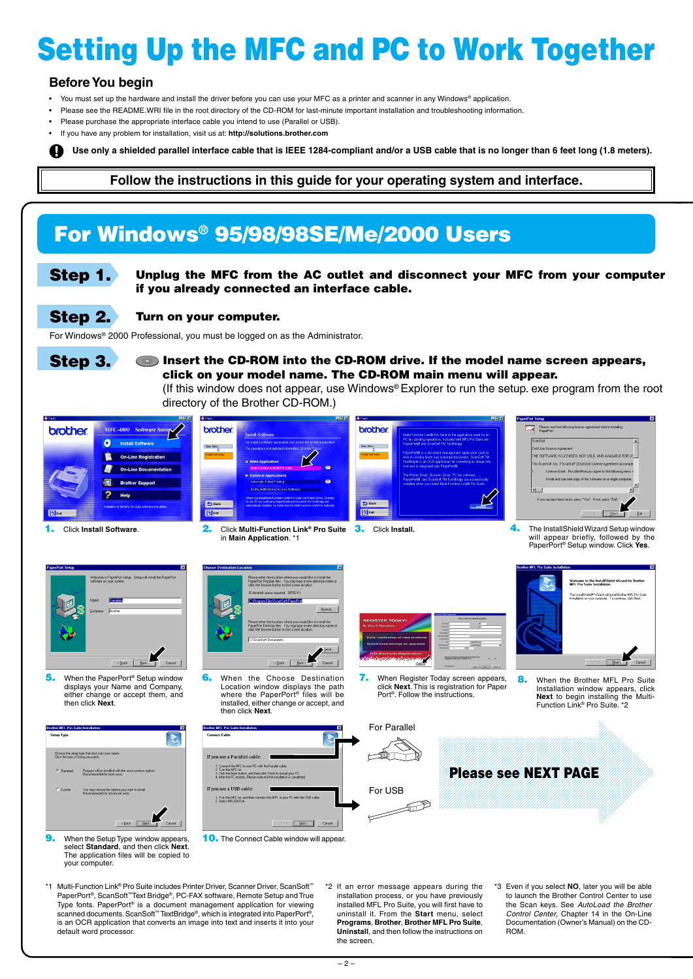## **For Windows® 95/98/98SE/Me/2000 Users**

# **Setting Up the MFC and PC to Work Together**

## **Before You begin**

- You must set up the hardware and install the driver before you can use your MFC as a printer and scanner in any Windows® application.
- Please see the README.WRI file in the root directory of the CD-ROM for last-minute important installation and troubleshooting information.
- Please purchase the appropriate interface cable you intend to use (Parallel or USB).
- If you have any problem for installation, visit us at: **http://solutions.brother.com**

**Step 1.** Unplug the MFC from the AC outlet and disconnect your MFC from your computer **if you already connected an interface cable.**

**Step 3. Comparent the CD-ROM into the CD-ROM drive. If the model name screen appears, click on your model name. The CD-ROM main menu will appear.**

**Use only a shielded parallel interface cable that is IEEE 1284-compliant and/or a USB cable that is no longer than 6 feet long (1.8 meters).**

#### **Follow the instructions in this guide for your operating system and interface.**

#### **Step 2. Turn on your computer.**

For Windows® 2000 Professional, you must be logged on as the Administrator.



(If this window does not appear, use Windows® Explorer to run the setup. exe program from the root directory of the Brother CD-ROM.)



**9.** When the Setup Type window appears, select **Standard**, and then click **Next**. The application files will be copied to your computer.

**10.** The Connect Cable window will appear.



(Estimated space required: 38792 K)

Location window displays the path where the PaperPort® files will be installed, either change or accept, and then click **Next**.







**7.** When Register Today screen appears, click **Next**. This is registration for Paper Port®. Follow the instructions.



- \*1 Multi-Function Link® Pro Suite includes Printer Driver, Scanner Driver, ScanSoft™ PaperPort®, ScanSoft™Text Bridge®, PC-FAX software, Remote Setup and True Type fonts. PaperPort® is a document management application for viewing scanned documents. ScanSoft™ TextBridge®, which is integrated into PaperPort®, is an OCR application that converts an image into text and inserts it into your default word processor.
- \*2 If an error message appears during the installation process, or you have previously installed MFL Pro Suite, you will first have to uninstall it. From the **Start** menu, select **Programs**, **Brother**, **Brother MFL Pro Suite**, **Uninstall**, and then follow the instructions on the screen.
- \*3 Even if you select **NO**, later you will be able to launch the Brother Control Center to use the Scan keys. See AutoLoad the Brother Control Center, Chapter 14 in the On-Line Documentation (Owner's Manual) on the CD-ROM.

**8.** When the Brother MFL Pro Suite Installation window appears, click **Next** to begin installing the Multi-Function Link® Pro Suite. \*2

**5.** When the PaperPort® Setup window displays your Name and Company, either change or accept them, and then click **Next**.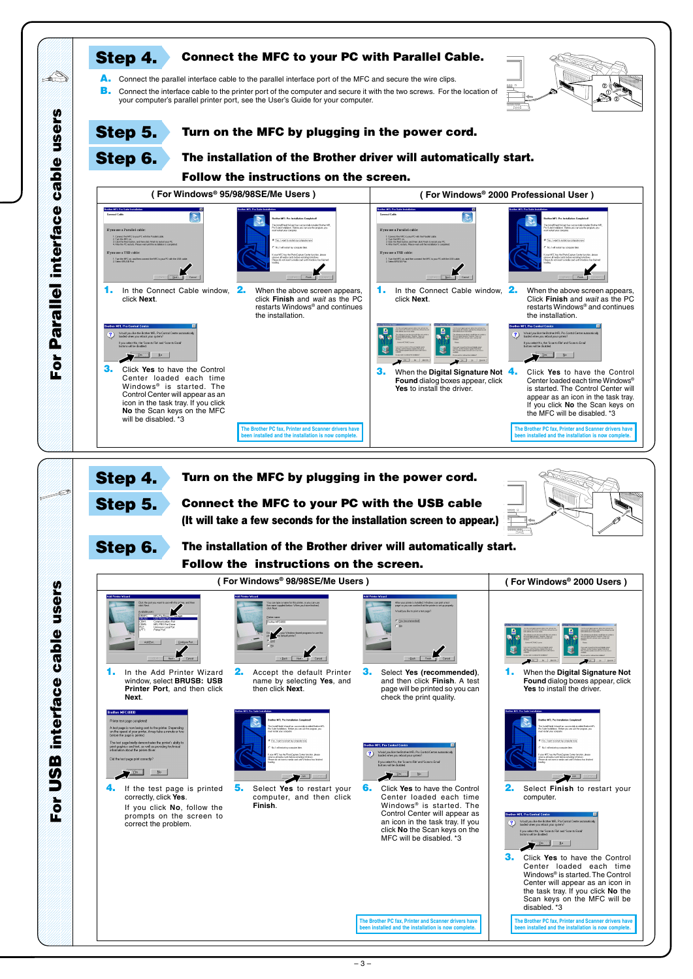





**4.** If the test page is printed correctly, click **Yes**.

> If you click **No**, follow the prompts on the screen to correct the problem.



**5.** Select **Yes** to restart your computer, and then click **Finish**.



**The Brother PC fax, Printer and Scanner drivers have been installed and the installation is now complete.**

**The Brother PC fax, Printer and Scanner drivers have been installed and the installation is now complete.**

**6.** Click **Yes** to have the Control Center loaded each time Windows<sup>®</sup> is started. The Control Center will appear as an icon in the task tray. If you click **No** the Scan keys on the MFC will be disabled. \*3



disabled. \*3